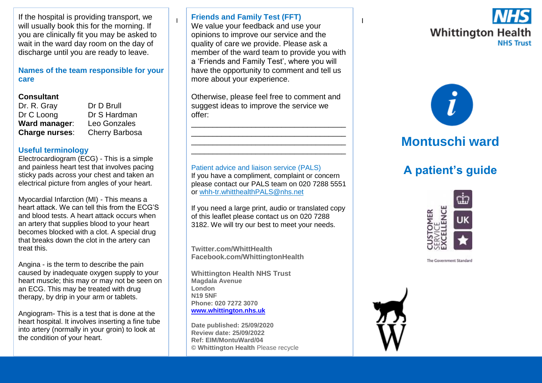If the hospital is providing transport, we will usually book this for the morning. If you are clinically fit you may be asked to wait in the ward day room on the day of discharge until you are ready to leave.

**Names of the team responsible for your care**

### **Consultant**

| Dr. R. Gray    |
|----------------|
| Dr C Loong     |
| Ward manager:  |
| Charge nurses: |

Dr. D. Brull Dr S Hardman **Ward manager**: Leo Gonzales **Cherry Barbosa** 

### **Useful terminology**

Electrocardiogram (ECG) - This is a simple and painless heart test that involves pacing sticky pads across your chest and taken an electrical picture from angles of your heart.

Myocardial Infarction (MI) - This means a heart attack. We can tell this from the ECG'S and blood tests. A heart attack occurs when an artery that supplies blood to your heart becomes blocked with a clot. A special drug that breaks down the clot in the artery can treat this.

Angina - is the term to describe the pain caused by inadequate oxygen supply to your heart muscle; this may or may not be seen on an ECG. This may be treated with drug therapy, by drip in your arm or tablets.

Angiogram- This is a test that is done at the heart hospital. It involves inserting a fine tube into artery (normally in your groin) to look at the condition of your heart.

## **Friends and Family Test (FFT)**

 $\frac{1}{1}$  We value your feedback and use your  $\frac{1}{1}$ opinions to improve our service and the quality of care we provide. Please ask a member of the ward team to provide you with a 'Friends and Family Test', where you will have the opportunity to comment and tell us more about your experience.

Otherwise, please feel free to comment and suggest ideas to improve the service we offer:

\_\_\_\_\_\_\_\_\_\_\_\_\_\_\_\_\_\_\_\_\_\_\_\_\_\_\_\_\_\_\_\_\_\_\_\_ \_\_\_\_\_\_\_\_\_\_\_\_\_\_\_\_\_\_\_\_\_\_\_\_\_\_\_\_\_\_\_\_\_\_\_\_ \_\_\_\_\_\_\_\_\_\_\_\_\_\_\_\_\_\_\_\_\_\_\_\_\_\_\_\_\_\_\_\_\_\_\_\_ \_\_\_\_\_\_\_\_\_\_\_\_\_\_\_\_\_\_\_\_\_\_\_\_\_\_\_\_\_\_\_\_\_\_\_\_

Patient advice and liaison service (PALS) If you have a compliment, complaint or concern please contact our PALS team on 020 7288 5551 or [whh-tr.whitthealthPALS@nhs.net](mailto:whh-tr.whitthealthPALS@nhs.net)

If you need a large print, audio or translated copy of this leaflet please contact us on 020 7288 3182. We will try our best to meet your needs.

**Twitter.com/WhittHealth Facebook.com/WhittingtonHealth**

**Whittington Health NHS Trust Magdala Avenue London N19 5NF Phone: 020 7272 3070 [www.whittington.nhs.uk](http://www.whittington.nhs.uk/)**

**Date published: 25/09/2020 Review date: 25/09/2022 Ref: EIM/MontuWard/04 © Whittington Health** Please recycle





# **Montuschi ward**

# **A patient's guide**



The Government Standard